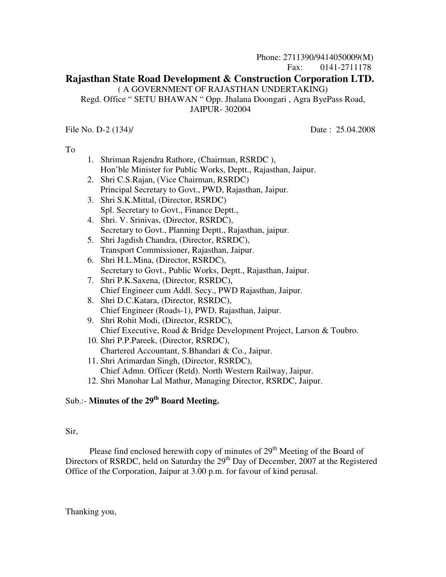## Phone: 2711390/9414050009(M) Fax: 0141-2711178 **Rajasthan State Road Development & Construction Corporation LTD.**  ( A GOVERNMENT OF RAJASTHAN UNDERTAKING) Regd. Office " SETU BHAWAN " Opp. Jhalana Doongari , Agra ByePass Road, JAIPUR- 302004

File No. D-2 (134)/ Date: 25.04.2008

To

- 1. Shriman Rajendra Rathore, (Chairman, RSRDC ), Hon'ble Minister for Public Works, Deptt., Rajasthan, Jaipur.
- 2. Shri C.S.Rajan, (Vice Chairman, RSRDC) Principal Secretary to Govt., PWD, Rajasthan, Jaipur.
- 3. Shri S.K.Mittal, (Director, RSRDC) Spl. Secretary to Govt., Finance Deptt.,
- 4. Shri. V. Srinivas, (Director, RSRDC), Secretary to Govt., Planning Deptt., Rajasthan, jaipur.
- 5. Shri Jagdish Chandra, (Director, RSRDC), Transport Commissioner, Rajasthan, Jaipur.
- 6. Shri H.L.Mina, (Director, RSRDC), Secretary to Govt., Public Works, Deptt., Rajasthan, Jaipur.
- 7. Shri P.K.Saxena, (Director, RSRDC), Chief Engineer cum Addl. Secy., PWD Rajasthan, Jaipur.
- 8. Shri D.C.Katara, (Director, RSRDC), Chief Engineer (Roads-1), PWD, Rajasthan, Jaipur.
- 9. Shri Rohit Modi, (Director, RSRDC), Chief Executive, Road & Bridge Development Project, Larson & Toubro.
- 10. Shri P.P.Pareek, (Director, RSRDC), Chartered Accountant, S.Bhandari & Co., Jaipur.
- 11. Shri Arimardan Singh, (Director, RSRDC), Chief Admn. Officer (Retd). North Western Railway, Jaipur.
- 12. Shri Manohar Lal Mathur, Managing Director, RSRDC, Jaipur.

# Sub.:- **Minutes of the 29th Board Meeting.**

# Sir,

Please find enclosed herewith copy of minutes of 29<sup>th</sup> Meeting of the Board of Directors of RSRDC, held on Saturday the  $29<sup>th</sup>$  Day of December, 2007 at the Registered Office of the Corporation, Jaipur at 3.00 p.m. for favour of kind perusal.

Thanking you,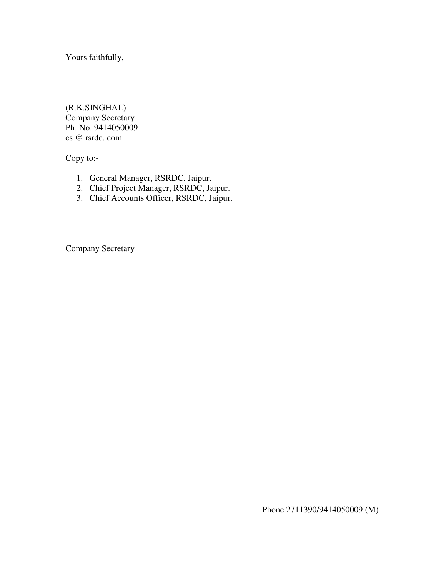Yours faithfully,

(R.K.SINGHAL) Company Secretary Ph. No. 9414050009 cs @ rsrdc. com

Copy to:-

- 1. General Manager, RSRDC, Jaipur.
- 2. Chief Project Manager, RSRDC, Jaipur.
- 3. Chief Accounts Officer, RSRDC, Jaipur.

Company Secretary

Phone 2711390/9414050009 (M)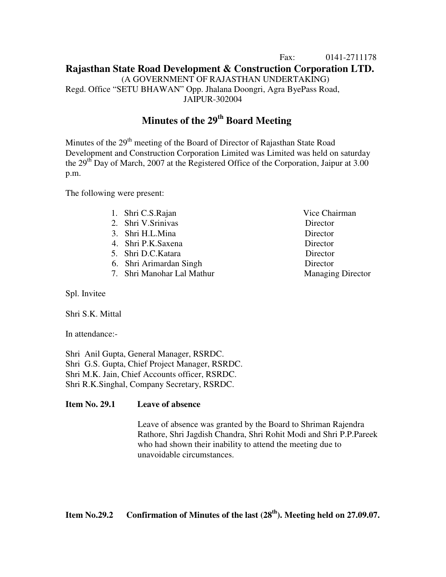## Fax: 0141-2711178 **Rajasthan State Road Development & Construction Corporation LTD.** (A GOVERNMENT OF RAJASTHAN UNDERTAKING) Regd. Office "SETU BHAWAN" Opp. Jhalana Doongri, Agra ByePass Road, JAIPUR-302004

# **Minutes of the 29th Board Meeting**

Minutes of the 29<sup>th</sup> meeting of the Board of Director of Rajasthan State Road Development and Construction Corporation Limited was Limited was held on saturday the  $29<sup>th</sup>$  Day of March, 2007 at the Registered Office of the Corporation, Jaipur at 3.00 p.m.

The following were present:

- 
- 2. Shri V.Srinivas Director
- 3. Shri H.L.Mina Director
- 4. Shri P.K.Saxena Director
- 5. Shri D.C.Katara Director
- 6. Shri Arimardan Singh Director
- 7. Shri Manohar Lal Mathur Managing Director

Spl. Invitee

Shri S.K. Mittal

In attendance:-

Shri Anil Gupta, General Manager, RSRDC. Shri G.S. Gupta, Chief Project Manager, RSRDC. Shri M.K. Jain, Chief Accounts officer, RSRDC. Shri R.K.Singhal, Company Secretary, RSRDC.

#### **Item No. 29.1 Leave of absence**

Leave of absence was granted by the Board to Shriman Rajendra Rathore, Shri Jagdish Chandra, Shri Rohit Modi and Shri P.P.Pareek who had shown their inability to attend the meeting due to unavoidable circumstances.

1. Shri C.S.Rajan Vice Chairman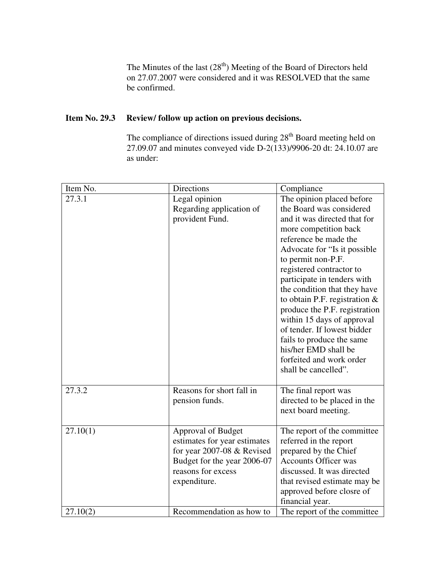The Minutes of the last  $(28<sup>th</sup>)$  Meeting of the Board of Directors held on 27.07.2007 were considered and it was RESOLVED that the same be confirmed.

# **Item No. 29.3 Review/ follow up action on previous decisions.**

The compliance of directions issued during 28<sup>th</sup> Board meeting held on 27.09.07 and minutes conveyed vide D-2(133)/9906-20 dt: 24.10.07 are as under:

| Item No. | Directions                                                                                                                                              | Compliance                                                                                                                                                                                                                                                                                                                                                                                                                                                                                                                          |
|----------|---------------------------------------------------------------------------------------------------------------------------------------------------------|-------------------------------------------------------------------------------------------------------------------------------------------------------------------------------------------------------------------------------------------------------------------------------------------------------------------------------------------------------------------------------------------------------------------------------------------------------------------------------------------------------------------------------------|
| 27.3.1   | Legal opinion<br>Regarding application of<br>provident Fund.                                                                                            | The opinion placed before<br>the Board was considered<br>and it was directed that for<br>more competition back<br>reference be made the<br>Advocate for "Is it possible"<br>to permit non-P.F.<br>registered contractor to<br>participate in tenders with<br>the condition that they have<br>to obtain P.F. registration $&$<br>produce the P.F. registration<br>within 15 days of approval<br>of tender. If lowest bidder<br>fails to produce the same<br>his/her EMD shall be<br>forfeited and work order<br>shall be cancelled". |
| 27.3.2   | Reasons for short fall in<br>pension funds.                                                                                                             | The final report was<br>directed to be placed in the<br>next board meeting.                                                                                                                                                                                                                                                                                                                                                                                                                                                         |
| 27.10(1) | Approval of Budget<br>estimates for year estimates<br>for year 2007-08 $&$ Revised<br>Budget for the year 2006-07<br>reasons for excess<br>expenditure. | The report of the committee<br>referred in the report<br>prepared by the Chief<br><b>Accounts Officer was</b><br>discussed. It was directed<br>that revised estimate may be<br>approved before closre of<br>financial year.                                                                                                                                                                                                                                                                                                         |
| 27.10(2) | Recommendation as how to                                                                                                                                | The report of the committee                                                                                                                                                                                                                                                                                                                                                                                                                                                                                                         |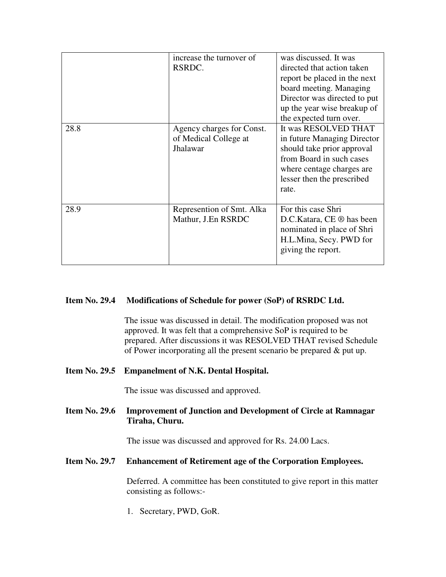|      | increase the turnover of<br>RSRDC.                             | was discussed. It was<br>directed that action taken<br>report be placed in the next<br>board meeting. Managing<br>Director was directed to put<br>up the year wise breakup of<br>the expected turn over. |
|------|----------------------------------------------------------------|----------------------------------------------------------------------------------------------------------------------------------------------------------------------------------------------------------|
| 28.8 | Agency charges for Const.<br>of Medical College at<br>Jhalawar | It was RESOLVED THAT<br>in future Managing Director<br>should take prior approval<br>from Board in such cases<br>where centage charges are<br>lesser then the prescribed<br>rate.                        |
| 28.9 | Represention of Smt. Alka<br>Mathur, J.En RSRDC                | For this case Shri<br>D.C.Katara, CE ® has been<br>nominated in place of Shri<br>H.L.Mina, Secy. PWD for<br>giving the report.                                                                           |

#### **Item No. 29.4 Modifications of Schedule for power (SoP) of RSRDC Ltd.**

The issue was discussed in detail. The modification proposed was not approved. It was felt that a comprehensive SoP is required to be prepared. After discussions it was RESOLVED THAT revised Schedule of Power incorporating all the present scenario be prepared & put up.

#### **Item No. 29.5 Empanelment of N.K. Dental Hospital.**

The issue was discussed and approved.

# **Item No. 29.6 Improvement of Junction and Development of Circle at Ramnagar Tiraha, Churu.**

The issue was discussed and approved for Rs. 24.00 Lacs.

## **Item No. 29.7 Enhancement of Retirement age of the Corporation Employees.**

 Deferred. A committee has been constituted to give report in this matter consisting as follows:-

1. Secretary, PWD, GoR.